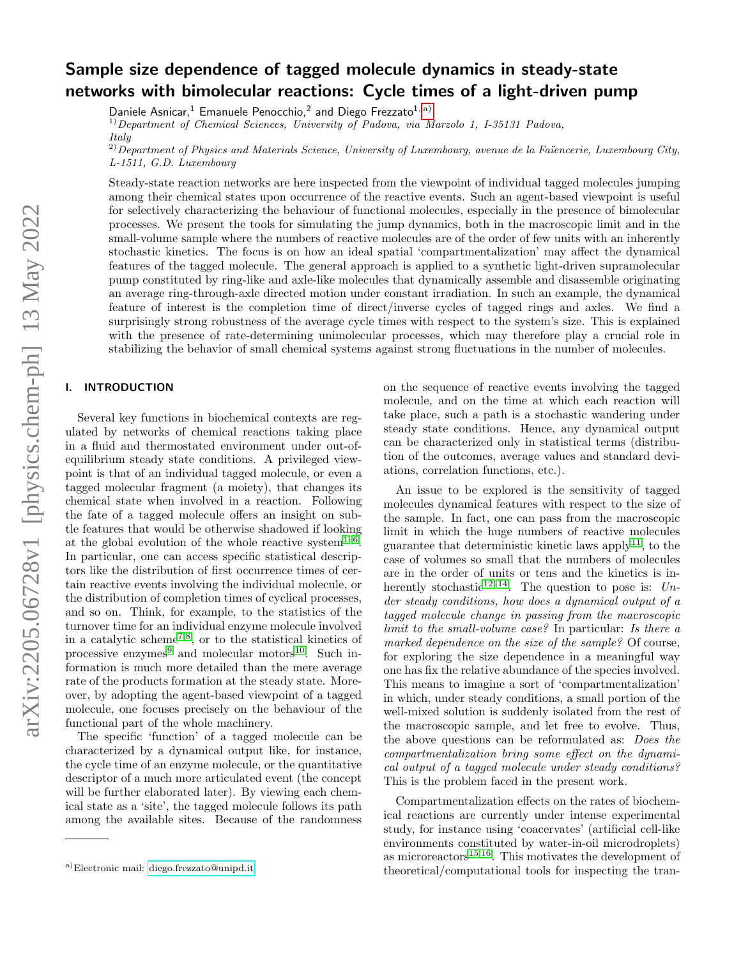# Sample size dependence of tagged molecule dynamics in steady-state networks with bimolecular reactions: Cycle times of a light-driven pump

Daniele Asnicar,<sup>1</sup> Emanuele Penocchio,<sup>2</sup> and Diego Frezzato<sup>1, [a\)](#page-0-0)</sup>

 $1)$ Department of Chemical Sciences, University of Padova, via Marzolo 1, I-35131 Padova,

 $^{2)}$ Department of Physics and Materials Science, University of Luxembourg, avenue de la Faïencerie, Luxembourg City, L-1511, G.D. Luxembourg

Steady-state reaction networks are here inspected from the viewpoint of individual tagged molecules jumping among their chemical states upon occurrence of the reactive events. Such an agent-based viewpoint is useful for selectively characterizing the behaviour of functional molecules, especially in the presence of bimolecular processes. We present the tools for simulating the jump dynamics, both in the macroscopic limit and in the small-volume sample where the numbers of reactive molecules are of the order of few units with an inherently stochastic kinetics. The focus is on how an ideal spatial 'compartmentalization' may affect the dynamical features of the tagged molecule. The general approach is applied to a synthetic light-driven supramolecular pump constituted by ring-like and axle-like molecules that dynamically assemble and disassemble originating an average ring-through-axle directed motion under constant irradiation. In such an example, the dynamical feature of interest is the completion time of direct/inverse cycles of tagged rings and axles. We find a surprisingly strong robustness of the average cycle times with respect to the system's size. This is explained with the presence of rate-determining unimolecular processes, which may therefore play a crucial role in stabilizing the behavior of small chemical systems against strong fluctuations in the number of molecules.

# I. INTRODUCTION

Several key functions in biochemical contexts are regulated by networks of chemical reactions taking place in a fluid and thermostated environment under out-ofequilibrium steady state conditions. A privileged viewpoint is that of an individual tagged molecule, or even a tagged molecular fragment (a moiety), that changes its chemical state when involved in a reaction. Following the fate of a tagged molecule offers an insight on subtle features that would be otherwise shadowed if looking at the global evolution of the whole reactive system<sup>1-[6](#page-12-0)</sup>. In particular, one can access specific statistical descriptors like the distribution of first occurrence times of certain reactive events involving the individual molecule, or the distribution of completion times of cyclical processes, and so on. Think, for example, to the statistics of the turnover time for an individual enzyme molecule involved in a catalytic scheme<sup>[7](#page-12-1)[,8](#page-12-2)</sup>, or to the statistical kinetics of processive enzymes<sup>[9](#page-12-3)</sup> and molecular motors<sup>[10](#page-12-4)</sup>. Such information is much more detailed than the mere average rate of the products formation at the steady state. Moreover, by adopting the agent-based viewpoint of a tagged molecule, one focuses precisely on the behaviour of the functional part of the whole machinery.

The specific 'function' of a tagged molecule can be characterized by a dynamical output like, for instance, the cycle time of an enzyme molecule, or the quantitative descriptor of a much more articulated event (the concept will be further elaborated later). By viewing each chemical state as a 'site', the tagged molecule follows its path among the available sites. Because of the randomness

on the sequence of reactive events involving the tagged molecule, and on the time at which each reaction will take place, such a path is a stochastic wandering under steady state conditions. Hence, any dynamical output can be characterized only in statistical terms (distribution of the outcomes, average values and standard deviations, correlation functions, etc.).

An issue to be explored is the sensitivity of tagged molecules dynamical features with respect to the size of the sample. In fact, one can pass from the macroscopic limit in which the huge numbers of reactive molecules guarantee that deterministic kinetic laws apply<sup>[11](#page-12-5)</sup>, to the case of volumes so small that the numbers of molecules are in the order of units or tens and the kinetics is in-herently stochastic<sup>[12–](#page-12-6)[14](#page-12-7)</sup>. The question to pose is:  $Un$ der steady conditions, how does a dynamical output of a tagged molecule change in passing from the macroscopic limit to the small-volume case? In particular: Is there a marked dependence on the size of the sample? Of course, for exploring the size dependence in a meaningful way one has fix the relative abundance of the species involved. This means to imagine a sort of 'compartmentalization' in which, under steady conditions, a small portion of the well-mixed solution is suddenly isolated from the rest of the macroscopic sample, and let free to evolve. Thus, the above questions can be reformulated as: Does the compartmentalization bring some effect on the dynamical output of a tagged molecule under steady conditions? This is the problem faced in the present work.

Compartmentalization effects on the rates of biochemical reactions are currently under intense experimental study, for instance using 'coacervates' (artificial cell-like environments constituted by water-in-oil microdroplets) as microreactors $15,16$  $15,16$ . This motivates the development of theoretical/computational tools for inspecting the tran-

Italy

<span id="page-0-0"></span>a)Electronic mail: [diego.frezzato@unipd.it](mailto:diego.frezzato@unipd.it)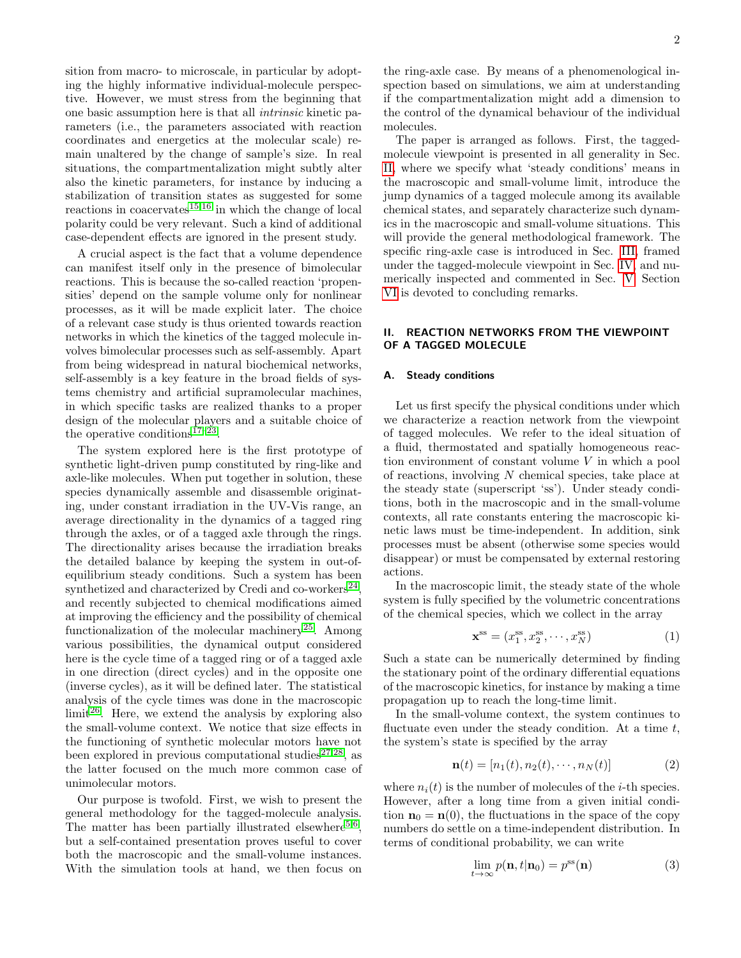sition from macro- to microscale, in particular by adopting the highly informative individual-molecule perspective. However, we must stress from the beginning that one basic assumption here is that all intrinsic kinetic parameters (i.e., the parameters associated with reaction coordinates and energetics at the molecular scale) remain unaltered by the change of sample's size. In real situations, the compartmentalization might subtly alter also the kinetic parameters, for instance by inducing a stabilization of transition states as suggested for some reactions in coacervates<sup>[15](#page-12-8)[,16](#page-12-9)</sup> in which the change of local polarity could be very relevant. Such a kind of additional case-dependent effects are ignored in the present study.

A crucial aspect is the fact that a volume dependence can manifest itself only in the presence of bimolecular reactions. This is because the so-called reaction 'propensities' depend on the sample volume only for nonlinear processes, as it will be made explicit later. The choice of a relevant case study is thus oriented towards reaction networks in which the kinetics of the tagged molecule involves bimolecular processes such as self-assembly. Apart from being widespread in natural biochemical networks, self-assembly is a key feature in the broad fields of systems chemistry and artificial supramolecular machines, in which specific tasks are realized thanks to a proper design of the molecular players and a suitable choice of the operative conditions<sup>17-[23](#page-12-11)</sup>.

The system explored here is the first prototype of synthetic light-driven pump constituted by ring-like and axle-like molecules. When put together in solution, these species dynamically assemble and disassemble originating, under constant irradiation in the UV-Vis range, an average directionality in the dynamics of a tagged ring through the axles, or of a tagged axle through the rings. The directionality arises because the irradiation breaks the detailed balance by keeping the system in out-ofequilibrium steady conditions. Such a system has been synthetized and characterized by Credi and co-workers<sup>[24](#page-12-12)</sup>, and recently subjected to chemical modifications aimed at improving the efficiency and the possibility of chemical functionalization of the molecular machinery<sup>[25](#page-12-13)</sup>. Among various possibilities, the dynamical output considered here is the cycle time of a tagged ring or of a tagged axle in one direction (direct cycles) and in the opposite one (inverse cycles), as it will be defined later. The statistical analysis of the cycle times was done in the macroscopic  $\text{limit}^{26}$  $\text{limit}^{26}$  $\text{limit}^{26}$ . Here, we extend the analysis by exploring also the small-volume context. We notice that size effects in the functioning of synthetic molecular motors have not been explored in previous computational studies<sup>[27,](#page-12-15)[28](#page-12-16)</sup>, as the latter focused on the much more common case of unimolecular motors.

Our purpose is twofold. First, we wish to present the general methodology for the tagged-molecule analysis. The matter has been partially illustrated elsewhere<sup>[5,](#page-12-17)[6](#page-12-0)</sup>, but a self-contained presentation proves useful to cover both the macroscopic and the small-volume instances. With the simulation tools at hand, we then focus on

the ring-axle case. By means of a phenomenological inspection based on simulations, we aim at understanding if the compartmentalization might add a dimension to the control of the dynamical behaviour of the individual molecules.

The paper is arranged as follows. First, the taggedmolecule viewpoint is presented in all generality in Sec. [II,](#page-1-0) where we specify what 'steady conditions' means in the macroscopic and small-volume limit, introduce the jump dynamics of a tagged molecule among its available chemical states, and separately characterize such dynamics in the macroscopic and small-volume situations. This will provide the general methodological framework. The specific ring-axle case is introduced in Sec. [III,](#page-4-0) framed under the tagged-molecule viewpoint in Sec. [IV,](#page-4-1) and numerically inspected and commented in Sec. [V.](#page-7-0) Section [VI](#page-10-0) is devoted to concluding remarks.

# <span id="page-1-0"></span>II. REACTION NETWORKS FROM THE VIEWPOINT OF A TAGGED MOLECULE

## A. Steady conditions

Let us first specify the physical conditions under which we characterize a reaction network from the viewpoint of tagged molecules. We refer to the ideal situation of a fluid, thermostated and spatially homogeneous reaction environment of constant volume V in which a pool of reactions, involving N chemical species, take place at the steady state (superscript 'ss'). Under steady conditions, both in the macroscopic and in the small-volume contexts, all rate constants entering the macroscopic kinetic laws must be time-independent. In addition, sink processes must be absent (otherwise some species would disappear) or must be compensated by external restoring actions.

In the macroscopic limit, the steady state of the whole system is fully specified by the volumetric concentrations of the chemical species, which we collect in the array

$$
\mathbf{x}^{\text{ss}} = (x_1^{\text{ss}}, x_2^{\text{ss}}, \cdots, x_N^{\text{ss}})
$$
 (1)

Such a state can be numerically determined by finding the stationary point of the ordinary differential equations of the macroscopic kinetics, for instance by making a time propagation up to reach the long-time limit.

In the small-volume context, the system continues to fluctuate even under the steady condition. At a time  $t$ , the system's state is specified by the array

$$
\mathbf{n}(t) = [n_1(t), n_2(t), \cdots, n_N(t)] \tag{2}
$$

where  $n_i(t)$  is the number of molecules of the *i*-th species. However, after a long time from a given initial condition  $n_0 = n(0)$ , the fluctuations in the space of the copy numbers do settle on a time-independent distribution. In terms of conditional probability, we can write

$$
\lim_{t \to \infty} p(\mathbf{n}, t | \mathbf{n}_0) = p^{\text{ss}}(\mathbf{n}) \tag{3}
$$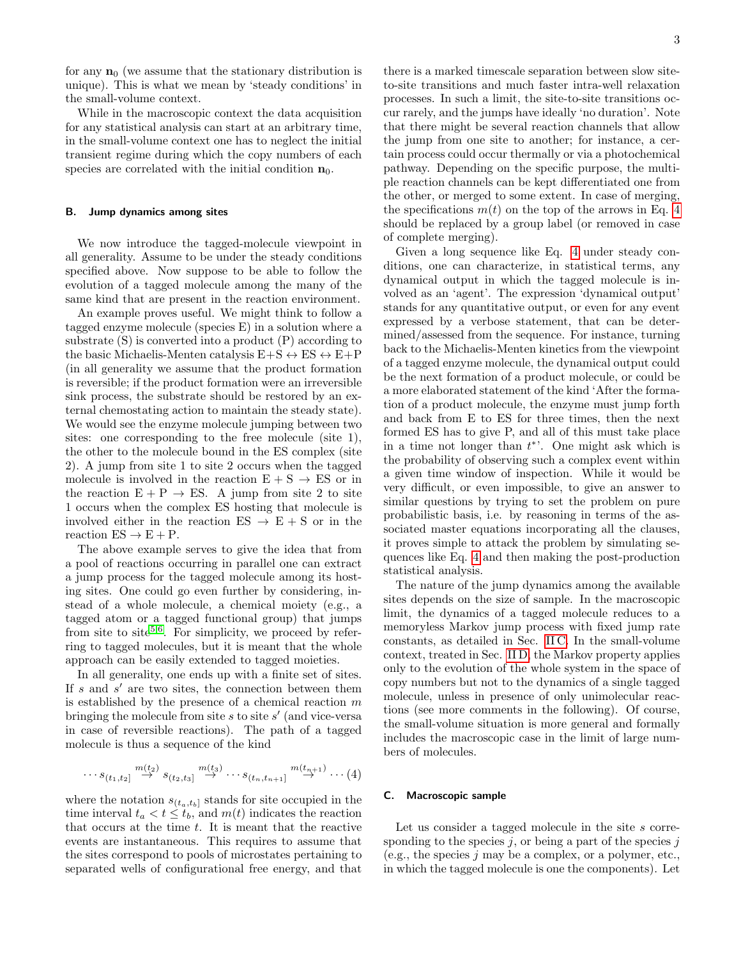for any  $n_0$  (we assume that the stationary distribution is unique). This is what we mean by 'steady conditions' in the small-volume context.

While in the macroscopic context the data acquisition for any statistical analysis can start at an arbitrary time, in the small-volume context one has to neglect the initial transient regime during which the copy numbers of each species are correlated with the initial condition  $n_0$ .

## <span id="page-2-2"></span>B. Jump dynamics among sites

We now introduce the tagged-molecule viewpoint in all generality. Assume to be under the steady conditions specified above. Now suppose to be able to follow the evolution of a tagged molecule among the many of the same kind that are present in the reaction environment.

An example proves useful. We might think to follow a tagged enzyme molecule (species E) in a solution where a substrate (S) is converted into a product (P) according to the basic Michaelis-Menten catalysis  $E+S \leftrightarrow ES \leftrightarrow E+P$ (in all generality we assume that the product formation is reversible; if the product formation were an irreversible sink process, the substrate should be restored by an external chemostating action to maintain the steady state). We would see the enzyme molecule jumping between two sites: one corresponding to the free molecule (site 1), the other to the molecule bound in the ES complex (site 2). A jump from site 1 to site 2 occurs when the tagged molecule is involved in the reaction  $E + S \rightarrow ES$  or in the reaction  $E + P \rightarrow ES$ . A jump from site 2 to site 1 occurs when the complex ES hosting that molecule is involved either in the reaction  $ES \rightarrow E + S$  or in the reaction  $ES \rightarrow E + P$ .

The above example serves to give the idea that from a pool of reactions occurring in parallel one can extract a jump process for the tagged molecule among its hosting sites. One could go even further by considering, instead of a whole molecule, a chemical moiety (e.g., a tagged atom or a tagged functional group) that jumps from site to site<sup>[5](#page-12-17)[,6](#page-12-0)</sup>. For simplicity, we proceed by referring to tagged molecules, but it is meant that the whole approach can be easily extended to tagged moieties.

In all generality, one ends up with a finite set of sites. If  $s$  and  $s'$  are two sites, the connection between them is established by the presence of a chemical reaction  $m$ bringing the molecule from site  $s$  to site  $s'$  (and vice-versa in case of reversible reactions). The path of a tagged molecule is thus a sequence of the kind

<span id="page-2-0"></span>
$$
\cdots s_{(t_1,t_2]} \stackrel{m(t_2)}{\rightarrow} s_{(t_2,t_3]} \stackrel{m(t_3)}{\rightarrow} \cdots s_{(t_n,t_{n+1}]} \stackrel{m(t_{n+1})}{\rightarrow} \cdots (4)
$$

where the notation  $s_{(t_a,t_b]}$  stands for site occupied in the time interval  $t_a < t \leq t_b$ , and  $m(t)$  indicates the reaction that occurs at the time  $t$ . It is meant that the reactive events are instantaneous. This requires to assume that the sites correspond to pools of microstates pertaining to separated wells of configurational free energy, and that

there is a marked timescale separation between slow siteto-site transitions and much faster intra-well relaxation processes. In such a limit, the site-to-site transitions occur rarely, and the jumps have ideally 'no duration'. Note that there might be several reaction channels that allow the jump from one site to another; for instance, a certain process could occur thermally or via a photochemical pathway. Depending on the specific purpose, the multiple reaction channels can be kept differentiated one from the other, or merged to some extent. In case of merging, the specifications  $m(t)$  on the top of the arrows in Eq. [4](#page-2-0) should be replaced by a group label (or removed in case of complete merging).

Given a long sequence like Eq. [4](#page-2-0) under steady conditions, one can characterize, in statistical terms, any dynamical output in which the tagged molecule is involved as an 'agent'. The expression 'dynamical output' stands for any quantitative output, or even for any event expressed by a verbose statement, that can be determined/assessed from the sequence. For instance, turning back to the Michaelis-Menten kinetics from the viewpoint of a tagged enzyme molecule, the dynamical output could be the next formation of a product molecule, or could be a more elaborated statement of the kind 'After the formation of a product molecule, the enzyme must jump forth and back from E to ES for three times, then the next formed ES has to give P, and all of this must take place in a time not longer than  $t^*$ . One might ask which is the probability of observing such a complex event within a given time window of inspection. While it would be very difficult, or even impossible, to give an answer to similar questions by trying to set the problem on pure probabilistic basis, i.e. by reasoning in terms of the associated master equations incorporating all the clauses, it proves simple to attack the problem by simulating sequences like Eq. [4](#page-2-0) and then making the post-production statistical analysis.

The nature of the jump dynamics among the available sites depends on the size of sample. In the macroscopic limit, the dynamics of a tagged molecule reduces to a memoryless Markov jump process with fixed jump rate constants, as detailed in Sec. [II C.](#page-2-1) In the small-volume context, treated in Sec. [II D,](#page-3-0) the Markov property applies only to the evolution of the whole system in the space of copy numbers but not to the dynamics of a single tagged molecule, unless in presence of only unimolecular reactions (see more comments in the following). Of course, the small-volume situation is more general and formally includes the macroscopic case in the limit of large numbers of molecules.

## <span id="page-2-1"></span>C. Macroscopic sample

Let us consider a tagged molecule in the site s corresponding to the species  $j$ , or being a part of the species  $j$ (e.g., the species  $j$  may be a complex, or a polymer, etc., in which the tagged molecule is one the components). Let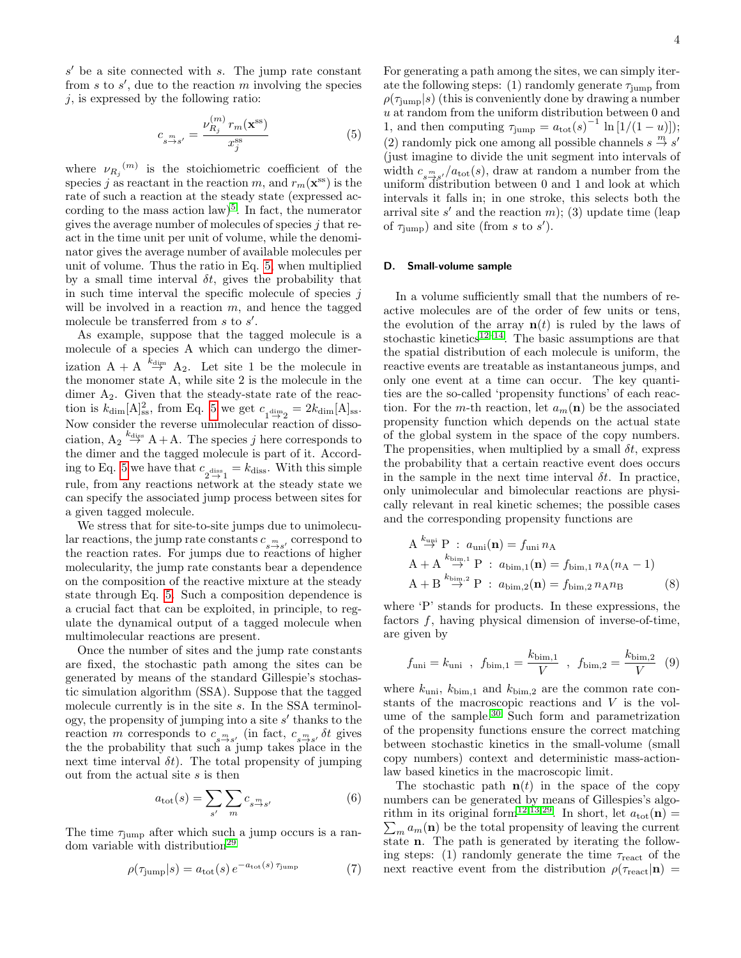$s'$  be a site connected with  $s$ . The jump rate constant from  $s$  to  $s'$ , due to the reaction  $m$  involving the species  $j$ , is expressed by the following ratio:

<span id="page-3-1"></span>
$$
c_{s \xrightarrow{m} s'} = \frac{\nu_{R_j}^{(m)} r_m(\mathbf{x}^{\text{ss}})}{x_j^{\text{ss}}} \tag{5}
$$

where  $\nu_{R_j}^{(m)}$  is the stoichiometric coefficient of the species j as reactant in the reaction m, and  $r_m(\mathbf{x}^{\text{ss}})$  is the rate of such a reaction at the steady state (expressed according to the mass action  $law$ <sup>[5](#page-12-17)</sup>. In fact, the numerator gives the average number of molecules of species  $i$  that react in the time unit per unit of volume, while the denominator gives the average number of available molecules per unit of volume. Thus the ratio in Eq. [5,](#page-3-1) when multiplied by a small time interval  $\delta t$ , gives the probability that in such time interval the specific molecule of species  $j$ will be involved in a reaction  $m$ , and hence the tagged molecule be transferred from  $s$  to  $s'$ .

As example, suppose that the tagged molecule is a molecule of a species A which can undergo the dimerization  $A + A \stackrel{k_{\text{dim}}}{\rightarrow} A_2$ . Let site 1 be the molecule in the monomer state A, while site 2 is the molecule in the dimer  $A_2$ . Given that the steady-state rate of the reaction is  $k_{\text{dim}}[A]_{ss}^2$ , from Eq. [5](#page-3-1) we get  $c_{\text{dim}\atop 1\to 2} = 2k_{\text{dim}}[A]_{ss}$ . Now consider the reverse unimolecular reaction of dissociation,  $A_2 \stackrel{k_{\text{diss}}}{\rightarrow} A+A$ . The species j here corresponds to the dimer and the tagged molecule is part of it. Accord-ing to Eq. [5](#page-3-1) we have that  $c_{2 \to 1 \atop 2 \to 1} = k_{\text{diss}}$ . With this simple rule, from any reactions network at the steady state we can specify the associated jump process between sites for a given tagged molecule.

We stress that for site-to-site jumps due to unimolecular reactions, the jump rate constants  $c_{s \to s'}$  correspond to the reaction rates. For jumps due to reactions of higher molecularity, the jump rate constants bear a dependence on the composition of the reactive mixture at the steady state through Eq. [5.](#page-3-1) Such a composition dependence is a crucial fact that can be exploited, in principle, to regulate the dynamical output of a tagged molecule when multimolecular reactions are present.

Once the number of sites and the jump rate constants are fixed, the stochastic path among the sites can be generated by means of the standard Gillespie's stochastic simulation algorithm (SSA). Suppose that the tagged molecule currently is in the site s. In the SSA terminology, the propensity of jumping into a site  $s'$  thanks to the reaction m corresponds to  $c_{s \to s'}$  (in fact,  $c_{s \to s'}$  of gives the the probability that such a jump takes place in the next time interval  $\delta t$ . The total propensity of jumping out from the actual site s is then

$$
a_{\text{tot}}(s) = \sum_{s'} \sum_{m} c_{s \xrightarrow{s'} } \tag{6}
$$

The time  $\tau_{\text{jump}}$  after which such a jump occurs is a ran-dom variable with distribution<sup>[29](#page-12-18)</sup>

$$
\rho(\tau_{\text{jump}}|s) = a_{\text{tot}}(s) e^{-a_{\text{tot}}(s)\tau_{\text{jump}}} \tag{7}
$$

For generating a path among the sites, we can simply iterate the following steps: (1) randomly generate  $\tau_{\text{jump}}$  from  $\rho(\tau_{\text{jump}}|s)$  (this is conveniently done by drawing a number  $\boldsymbol{u}$  at random from the uniform distribution between 0 and 1, and then computing  $\tau_{\text{jump}} = a_{\text{tot}}(s)^{-1} \ln[1/(1-u)]$ ; (2) randomly pick one among all possible channels  $s \stackrel{m}{\rightarrow} s'$ (just imagine to divide the unit segment into intervals of width  $c_{s \to s'}/a_{\text{tot}}(s)$ , draw at random a number from the uniform distribution between 0 and 1 and look at which intervals it falls in; in one stroke, this selects both the arrival site  $s'$  and the reaction  $m$ ); (3) update time (leap of  $\tau_{\text{jump}}$ ) and site (from s to s').

# <span id="page-3-0"></span>D. Small-volume sample

In a volume sufficiently small that the numbers of reactive molecules are of the order of few units or tens, the evolution of the array  $\mathbf{n}(t)$  is ruled by the laws of stochastic kinetics<sup>[12](#page-12-6)[–14](#page-12-7)</sup>. The basic assumptions are that the spatial distribution of each molecule is uniform, the reactive events are treatable as instantaneous jumps, and only one event at a time can occur. The key quantities are the so-called 'propensity functions' of each reaction. For the m-th reaction, let  $a_m(n)$  be the associated propensity function which depends on the actual state of the global system in the space of the copy numbers. The propensities, when multiplied by a small  $\delta t$ , express the probability that a certain reactive event does occurs in the sample in the next time interval  $\delta t$ . In practice, only unimolecular and bimolecular reactions are physically relevant in real kinetic schemes; the possible cases and the corresponding propensity functions are

$$
A \stackrel{k_{\text{unif}}}{\rightarrow} P : a_{\text{unif}}(\mathbf{n}) = f_{\text{unif}} n_A
$$
  
\n
$$
A + A \stackrel{k_{\text{bin},1}}{\rightarrow} P : a_{\text{bin},1}(\mathbf{n}) = f_{\text{bin},1} n_A (n_A - 1)
$$
  
\n
$$
A + B \stackrel{k_{\text{bin},2}}{\rightarrow} P : a_{\text{bin},2}(\mathbf{n}) = f_{\text{bin},2} n_A n_B
$$
 (8)

where 'P' stands for products. In these expressions, the factors  $f$ , having physical dimension of inverse-of-time, are given by

<span id="page-3-2"></span>
$$
f_{\text{uni}} = k_{\text{uni}}
$$
,  $f_{\text{bim},1} = \frac{k_{\text{bim},1}}{V}$ ,  $f_{\text{bim},2} = \frac{k_{\text{bim},2}}{V}$  (9)

where  $k_{\text{uni}}$ ,  $k_{\text{bim},1}$  and  $k_{\text{bim},2}$  are the common rate constants of the macroscopic reactions and V is the vol-ume of the sample.<sup>[30](#page-12-19)</sup> Such form and parametrization of the propensity functions ensure the correct matching between stochastic kinetics in the small-volume (small copy numbers) context and deterministic mass-actionlaw based kinetics in the macroscopic limit.

The stochastic path  $\mathbf{n}(t)$  in the space of the copy numbers can be generated by means of Gillespies's algo-rithm in its original form<sup>[12,](#page-12-6)[13](#page-12-20)[,29](#page-12-18)</sup>. In short, let  $a_{\text{tot}}(\mathbf{n}) =$  $\sum_{m} a_m(\mathbf{n})$  be the total propensity of leaving the current state n. The path is generated by iterating the following steps: (1) randomly generate the time  $\tau_{\text{react}}$  of the next reactive event from the distribution  $\rho(\tau_{\text{react}}|\mathbf{n})$  =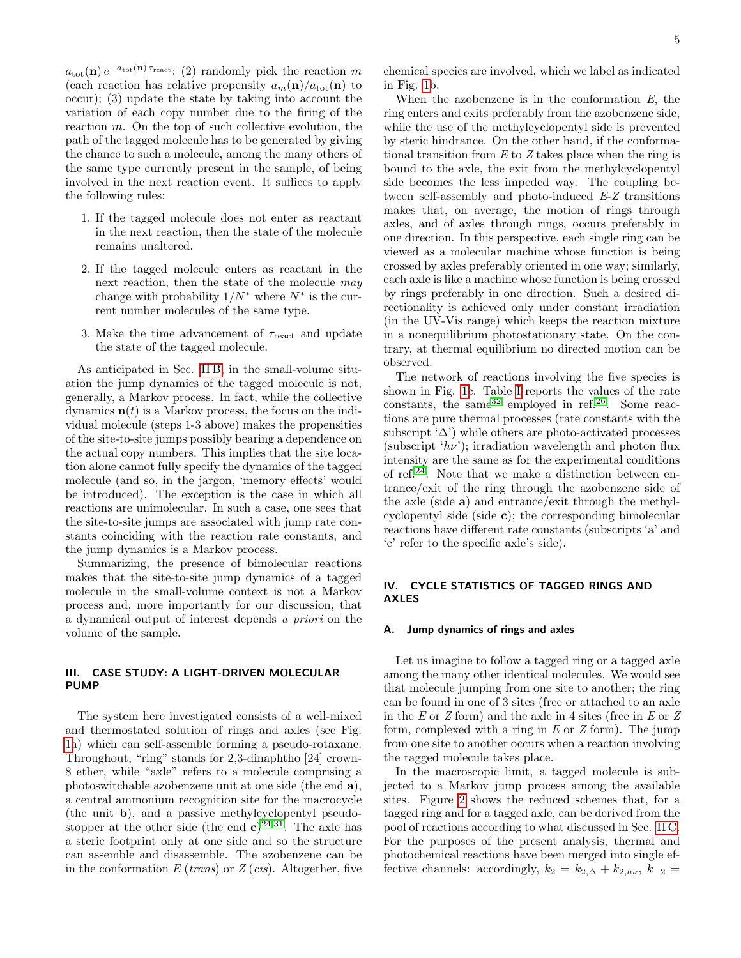$a_{\text{tot}}(\mathbf{n}) e^{-a_{\text{tot}}(\mathbf{n}) \tau_{\text{react}}};$  (2) randomly pick the reaction m (each reaction has relative propensity  $a_m(\mathbf{n})/a_{\text{tot}}(\mathbf{n})$  to occur); (3) update the state by taking into account the variation of each copy number due to the firing of the reaction  $m$ . On the top of such collective evolution, the path of the tagged molecule has to be generated by giving the chance to such a molecule, among the many others of the same type currently present in the sample, of being involved in the next reaction event. It suffices to apply the following rules:

- 1. If the tagged molecule does not enter as reactant in the next reaction, then the state of the molecule remains unaltered.
- 2. If the tagged molecule enters as reactant in the next reaction, then the state of the molecule may change with probability  $1/N^*$  where  $N^*$  is the current number molecules of the same type.
- 3. Make the time advancement of  $\tau_{\text{react}}$  and update the state of the tagged molecule.

As anticipated in Sec. [II B,](#page-2-2) in the small-volume situation the jump dynamics of the tagged molecule is not, generally, a Markov process. In fact, while the collective dynamics  $\mathbf{n}(t)$  is a Markov process, the focus on the individual molecule (steps 1-3 above) makes the propensities of the site-to-site jumps possibly bearing a dependence on the actual copy numbers. This implies that the site location alone cannot fully specify the dynamics of the tagged molecule (and so, in the jargon, 'memory effects' would be introduced). The exception is the case in which all reactions are unimolecular. In such a case, one sees that the site-to-site jumps are associated with jump rate constants coinciding with the reaction rate constants, and the jump dynamics is a Markov process.

Summarizing, the presence of bimolecular reactions makes that the site-to-site jump dynamics of a tagged molecule in the small-volume context is not a Markov process and, more importantly for our discussion, that a dynamical output of interest depends a priori on the volume of the sample.

# <span id="page-4-0"></span>III. CASE STUDY: A LIGHT-DRIVEN MOLECULAR PUMP

The system here investigated consists of a well-mixed and thermostated solution of rings and axles (see Fig. [1a](#page-5-0)) which can self-assemble forming a pseudo-rotaxane. Throughout, "ring" stands for 2,3-dinaphtho [24] crown-8 ether, while "axle" refers to a molecule comprising a photoswitchable azobenzene unit at one side (the end a), a central ammonium recognition site for the macrocycle (the unit b), and a passive methylcyclopentyl pseudostopper at the other side (the end  $c^{24,31}$  $c^{24,31}$  $c^{24,31}$  $c^{24,31}$ . The axle has a steric footprint only at one side and so the structure can assemble and disassemble. The azobenzene can be in the conformation  $E$  (*trans*) or  $Z$  (*cis*). Altogether, five

chemical species are involved, which we label as indicated in Fig. [1b](#page-5-0).

When the azobenzene is in the conformation  $E$ , the ring enters and exits preferably from the azobenzene side, while the use of the methylcyclopentyl side is prevented by steric hindrance. On the other hand, if the conformational transition from  $E$  to  $Z$  takes place when the ring is bound to the axle, the exit from the methylcyclopentyl side becomes the less impeded way. The coupling between self-assembly and photo-induced E-Z transitions makes that, on average, the motion of rings through axles, and of axles through rings, occurs preferably in one direction. In this perspective, each single ring can be viewed as a molecular machine whose function is being crossed by axles preferably oriented in one way; similarly, each axle is like a machine whose function is being crossed by rings preferably in one direction. Such a desired directionality is achieved only under constant irradiation (in the UV-Vis range) which keeps the reaction mixture in a nonequilibrium photostationary state. On the contrary, at thermal equilibrium no directed motion can be observed.

The network of reactions involving the five species is shown in Fig. [1c](#page-5-0). Table [I](#page-6-0) reports the values of the rate constants, the same  $32$  employed in ref. [26](#page-12-14). Some reactions are pure thermal processes (rate constants with the subscript ' $\Delta$ ') while others are photo-activated processes (subscript ' $h\nu$ '); irradiation wavelength and photon flux intensity are the same as for the experimental conditions of ref.[24](#page-12-12). Note that we make a distinction between entrance/exit of the ring through the azobenzene side of the axle (side a) and entrance/exit through the methylcyclopentyl side (side c); the corresponding bimolecular reactions have different rate constants (subscripts 'a' and 'c' refer to the specific axle's side).

# <span id="page-4-1"></span>IV. CYCLE STATISTICS OF TAGGED RINGS AND AXLES

#### A. Jump dynamics of rings and axles

Let us imagine to follow a tagged ring or a tagged axle among the many other identical molecules. We would see that molecule jumping from one site to another; the ring can be found in one of 3 sites (free or attached to an axle in the  $E$  or  $Z$  form) and the axle in 4 sites (free in  $E$  or  $Z$ form, complexed with a ring in  $E$  or  $Z$  form). The jump from one site to another occurs when a reaction involving the tagged molecule takes place.

In the macroscopic limit, a tagged molecule is subjected to a Markov jump process among the available sites. Figure [2](#page-6-1) shows the reduced schemes that, for a tagged ring and for a tagged axle, can be derived from the pool of reactions according to what discussed in Sec. [II C.](#page-2-1) For the purposes of the present analysis, thermal and photochemical reactions have been merged into single effective channels: accordingly,  $k_2 = k_{2,\Delta} + k_{2,h\nu}$ ,  $k_{-2} =$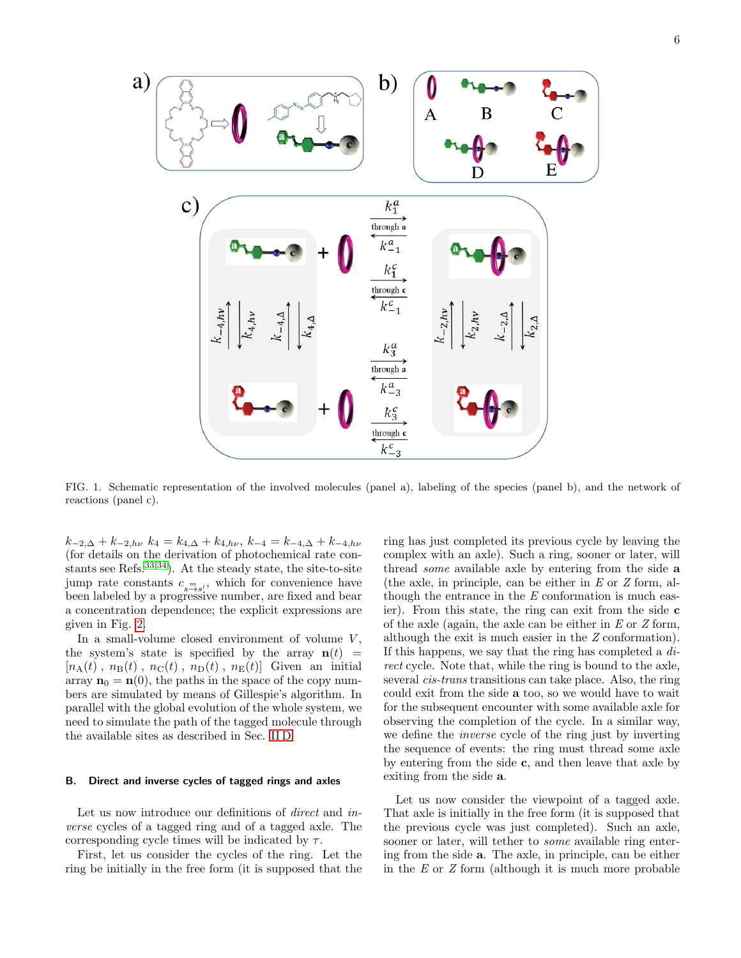

<span id="page-5-0"></span>FIG. 1. Schematic representation of the involved molecules (panel a), labeling of the species (panel b), and the network of reactions (panel c).

 $k_{-2,\Delta} + k_{-2,h\nu} k_4 = k_{4,\Delta} + k_{4,h\nu}, k_{-4} = k_{-4,\Delta} + k_{-4,h\nu}$ (for details on the derivation of photochemical rate constants see Refs.  $33,34$  $33,34$ ). At the steady state, the site-to-site jump rate constants  $c_{s \to s'}$ , which for convenience have been labeled by a progressive number, are fixed and bear a concentration dependence; the explicit expressions are given in Fig. [2.](#page-6-1)

In a small-volume closed environment of volume  $V$ , the system's state is specified by the array  $\mathbf{n}(t)$  =  $[n_{\rm A}(t), n_{\rm B}(t), n_{\rm C}(t), n_{\rm D}(t), n_{\rm E}(t)]$  Given an initial array  $\mathbf{n}_0 = \mathbf{n}(0)$ , the paths in the space of the copy numbers are simulated by means of Gillespie's algorithm. In parallel with the global evolution of the whole system, we need to simulate the path of the tagged molecule through the available sites as described in Sec. [II D.](#page-3-0)

#### <span id="page-5-1"></span>B. Direct and inverse cycles of tagged rings and axles

Let us now introduce our definitions of direct and inverse cycles of a tagged ring and of a tagged axle. The corresponding cycle times will be indicated by  $\tau$ .

First, let us consider the cycles of the ring. Let the ring be initially in the free form (it is supposed that the

ring has just completed its previous cycle by leaving the complex with an axle). Such a ring, sooner or later, will thread some available axle by entering from the side a (the axle, in principle, can be either in  $E$  or  $Z$  form, although the entrance in the  $E$  conformation is much easier). From this state, the ring can exit from the side c of the axle (again, the axle can be either in  $E$  or  $Z$  form, although the exit is much easier in the Z conformation). If this happens, we say that the ring has completed a direct cycle. Note that, while the ring is bound to the axle, several cis-trans transitions can take place. Also, the ring could exit from the side a too, so we would have to wait for the subsequent encounter with some available axle for observing the completion of the cycle. In a similar way, we define the inverse cycle of the ring just by inverting the sequence of events: the ring must thread some axle by entering from the side c, and then leave that axle by exiting from the side a.

Let us now consider the viewpoint of a tagged axle. That axle is initially in the free form (it is supposed that the previous cycle was just completed). Such an axle, sooner or later, will tether to some available ring entering from the side a. The axle, in principle, can be either in the E or Z form (although it is much more probable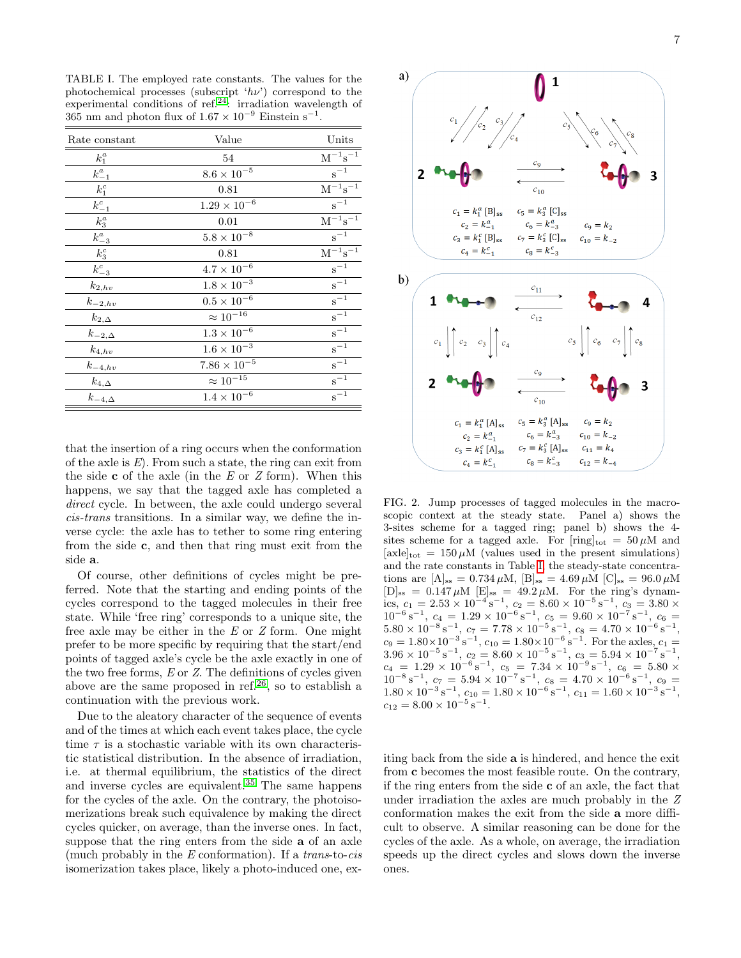<span id="page-6-0"></span>TABLE I. The employed rate constants. The values for the photochemical processes (subscript ' $h\nu$ ') correspond to the experimental conditions of ref.<sup>[24](#page-12-12)</sup>: irradiation wavelength of  $365$  nm and photon flux of  $1.67 \times 10^{-9}$  Einstein s<sup>-1</sup>.

| Rate constant   | Value                | Units                            |
|-----------------|----------------------|----------------------------------|
| $k_1^a$         | 54                   | $\rm M^{-1} \overline{s^{-1}}$   |
| $k_{-1}^a$      | $8.6\times10^{-5}$   | $s^{-1}$                         |
| $k_1^c$         | 0.81                 | $\rm M^{-1} \overline{s^{-1}}$   |
| $k_{-1}^c$      | $1.29\times10^{-6}$  | $s^{-1}$                         |
| $k_3^a$         | 0.01                 | $\mathbf{M}^{-1}\mathbf{s}^{-1}$ |
| $k_{-3}^a$      | $5.8\times10^{-8}$   | $s^{-1}$                         |
| $k_3^c$         | 0.81                 | $\rm M^{-1} \overline{s^{-1}}$   |
| $k_{-3}^c$      | $4.7\times10^{-6}$   | $s^{-1}$                         |
| $k_{2, hv}$     | $1.8 \times 10^{-3}$ | $s^{-1}$                         |
| $k_{-2,hv}$     | $0.5\times10^{-6}$   | $s^{-1}$                         |
| $k_{2,\Delta}$  | $\approx 10^{-16}$   | $s^{-1}$                         |
| $k_{-2,\Delta}$ | $1.3\times10^{-6}$   | $s^{-1}$                         |
| $k_{4,hv}$      | $1.6\times10^{-3}$   | $s^{-1}$                         |
| $k_{-4,hv}$     | $7.86\times10^{-5}$  | $s^{-1}$                         |
| $k_{4,\Delta}$  | $\approx 10^{-15}$   | $s^{-1}$                         |
| $k_{-4,\Delta}$ | $1.4\times10^{-6}$   | $\rm s^{-1}$                     |

that the insertion of a ring occurs when the conformation of the axle is  $E$ ). From such a state, the ring can exit from the side  $\bf{c}$  of the axle (in the E or Z form). When this happens, we say that the tagged axle has completed a direct cycle. In between, the axle could undergo several cis-trans transitions. In a similar way, we define the inverse cycle: the axle has to tether to some ring entering from the side c, and then that ring must exit from the side a.

Of course, other definitions of cycles might be preferred. Note that the starting and ending points of the cycles correspond to the tagged molecules in their free state. While 'free ring' corresponds to a unique site, the free axle may be either in the  $E$  or  $Z$  form. One might prefer to be more specific by requiring that the start/end points of tagged axle's cycle be the axle exactly in one of the two free forms, E or Z. The definitions of cycles given above are the same proposed in ref.<sup>[26](#page-12-14)</sup>, so to establish a continuation with the previous work.

Due to the aleatory character of the sequence of events and of the times at which each event takes place, the cycle time  $\tau$  is a stochastic variable with its own characteristic statistical distribution. In the absence of irradiation, i.e. at thermal equilibrium, the statistics of the direct and inverse cycles are equivalent.[35](#page-12-25) The same happens for the cycles of the axle. On the contrary, the photoisomerizations break such equivalence by making the direct cycles quicker, on average, than the inverse ones. In fact, suppose that the ring enters from the side a of an axle (much probably in the  $E$  conformation). If a *trans*-to-*cis* isomerization takes place, likely a photo-induced one, ex-



<span id="page-6-1"></span>FIG. 2. Jump processes of tagged molecules in the macroscopic context at the steady state. Panel a) shows the 3-sites scheme for a tagged ring; panel b) shows the 4 sites scheme for a tagged axle. For  $[\text{ring}]_{\text{tot}} = 50 \,\mu\text{M}$  and  $[\text{axle}]_{\text{tot}} = 150 \,\mu\text{M}$  (values used in the present simulations) and the rate constants in Table [I,](#page-6-0) the steady-state concentrations are  $[A]_{ss} = 0.734 \,\mu\text{M}, [B]_{ss} = 4.69 \,\mu\text{M} [C]_{ss} = 96.0 \,\mu\text{M}$  $[D]_{ss} = 0.147 \,\mu\text{M}$   $[E]_{ss} = 49.2 \,\mu\text{M}$ . For the ring's dynamics,  $c_1 = 2.53 \times 10^{-4}$  s<sup>-1</sup>,  $c_2 = 8.60 \times 10^{-5}$  s<sup>-1</sup>,  $c_3 = 3.80 \times$  $10^{-6}$  s<sup>-1</sup>,  $c_4 = 1.29 \times 10^{-6}$  s<sup>-1</sup>,  $c_5 = 9.60 \times 10^{-7}$  s<sup>-1</sup>,  $c_6 =$  $5.80 \times 10^{-8} \text{ s}^{-1}$ ,  $c_7 = 7.78 \times 10^{-5} \text{ s}^{-1}$ ,  $c_8 = 4.70 \times 10^{-6} \text{ s}^{-1}$ ,  $c_9 = 1.80 \times 10^{-3} \text{ s}^{-1}$ ,  $c_{10} = 1.80 \times 10^{-6} \text{ s}^{-1}$ . For the axles,  $c_1 =$  $3.96 \times 10^{-5} \,\mathrm{s}^{-1}, \ c_2 = 8.60 \times 10^{-5} \,\mathrm{s}^{-1}, \ c_3 = 5.94 \times 10^{-7} \,\mathrm{s}^{-1},$  $c_4 = 1.29 \times 10^{-6} \,\mathrm{s}^{-1}, \ c_5 = 7.34 \times 10^{-9} \,\mathrm{s}^{-1}, \ c_6 = 5.80 \times$  $10^{-8}$  s<sup>-1</sup>,  $c_7 = 5.94 \times 10^{-7}$  s<sup>-1</sup>,  $c_8 = 4.70 \times 10^{-6}$  s<sup>-1</sup>,  $c_9 =$  $1.80 \times 10^{-3} \,\mathrm{s}^{-1}$ ,  $c_{10} = 1.80 \times 10^{-6} \,\mathrm{s}^{-1}$ ,  $c_{11} = 1.60 \times 10^{-3} \,\mathrm{s}^{-1}$ ,  $c_{12} = 8.00 \times 10^{-5} \,\mathrm{s}^{-1}.$ 

iting back from the side a is hindered, and hence the exit from c becomes the most feasible route. On the contrary, if the ring enters from the side c of an axle, the fact that under irradiation the axles are much probably in the Z conformation makes the exit from the side a more difficult to observe. A similar reasoning can be done for the cycles of the axle. As a whole, on average, the irradiation speeds up the direct cycles and slows down the inverse ones.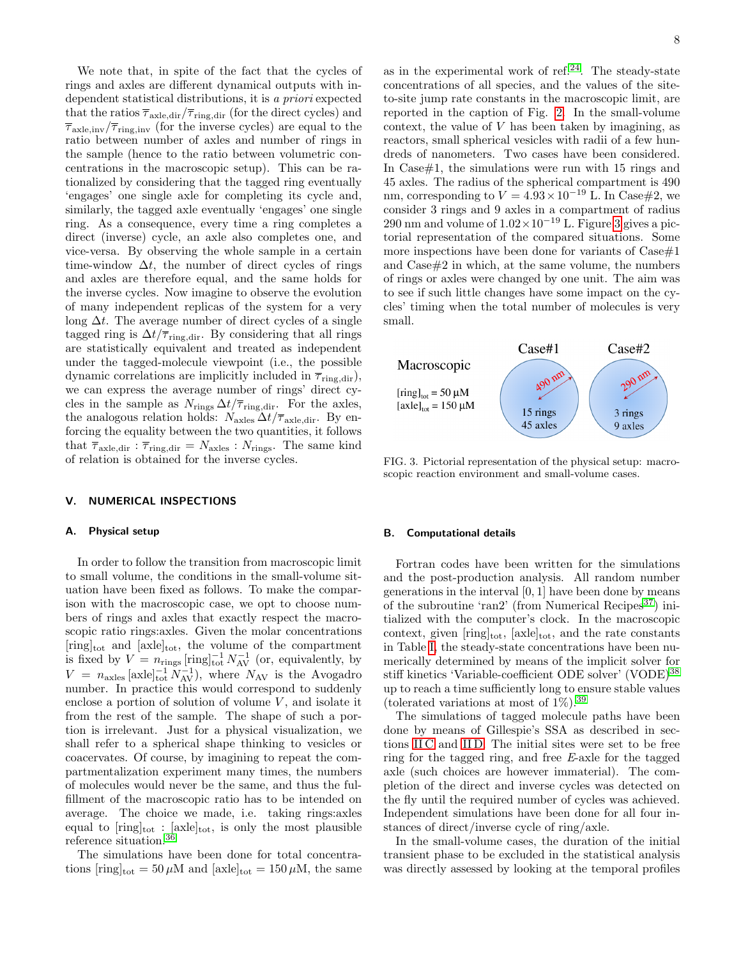We note that, in spite of the fact that the cycles of rings and axles are different dynamical outputs with independent statistical distributions, it is a priori expected that the ratios  $\overline{\tau}_{axle,dir}/\overline{\tau}_{ring,dir}$  (for the direct cycles) and  $\overline{\tau}_{\text{axle,inv}}/\overline{\tau}_{\text{ring,inv}}$  (for the inverse cycles) are equal to the ratio between number of axles and number of rings in the sample (hence to the ratio between volumetric concentrations in the macroscopic setup). This can be rationalized by considering that the tagged ring eventually 'engages' one single axle for completing its cycle and, similarly, the tagged axle eventually 'engages' one single ring. As a consequence, every time a ring completes a direct (inverse) cycle, an axle also completes one, and vice-versa. By observing the whole sample in a certain time-window  $\Delta t$ , the number of direct cycles of rings and axles are therefore equal, and the same holds for the inverse cycles. Now imagine to observe the evolution of many independent replicas of the system for a very long  $\Delta t$ . The average number of direct cycles of a single tagged ring is  $\Delta t/\overline{\tau}_{\text{ring,dir}}$ . By considering that all rings are statistically equivalent and treated as independent under the tagged-molecule viewpoint (i.e., the possible dynamic correlations are implicitly included in  $\overline{\tau}_{\text{ring,dir}}$ , we can express the average number of rings' direct cycles in the sample as  $N_{\text{rings}} \Delta t / \overline{\tau}_{\text{ring,dir}}$ . For the axles, the analogous relation holds:  $N_{\text{axles}} \Delta t / \overline{\tau}_{\text{axle,dir}}$ . By enforcing the equality between the two quantities, it follows that  $\overline{\tau}_{\text{axle,dir}}$ :  $\overline{\tau}_{\text{ring,dir}} = N_{\text{axles}}$ :  $N_{\text{rings}}$ . The same kind of relation is obtained for the inverse cycles.

#### <span id="page-7-0"></span>V. NUMERICAL INSPECTIONS

#### A. Physical setup

In order to follow the transition from macroscopic limit to small volume, the conditions in the small-volume situation have been fixed as follows. To make the comparison with the macroscopic case, we opt to choose numbers of rings and axles that exactly respect the macroscopic ratio rings:axles. Given the molar concentrations  $[\mathrm{ring}]_{\mathrm{tot}}$  and  $[\mathrm{axle}]_{\mathrm{tot}}$ , the volume of the compartment is fixed by  $V = n_{\text{rings}} \left[ \text{ring} \right]_{\text{tot}}^{-1} N_{\text{AV}}^{-1}$  (or, equivalently, by  $V = n_{\text{axles}} [\text{axle}]_{\text{tot}}^{-1} N_{\text{AV}}^{-1}$ , where  $N_{\text{AV}}$  is the Avogadro number. In practice this would correspond to suddenly enclose a portion of solution of volume  $V$ , and isolate it from the rest of the sample. The shape of such a portion is irrelevant. Just for a physical visualization, we shall refer to a spherical shape thinking to vesicles or coacervates. Of course, by imagining to repeat the compartmentalization experiment many times, the numbers of molecules would never be the same, and thus the fulfillment of the macroscopic ratio has to be intended on average. The choice we made, i.e. taking rings:axles equal to  $[\text{ring}]_{\text{tot}}$ :  $[\text{axle}]_{\text{tot}}$ , is only the most plausible reference situation.[36](#page-12-26)

The simulations have been done for total concentrations  $[\text{ring}]_{\text{tot}} = 50 \,\mu\text{M}$  and  $[\text{axle}]_{\text{tot}} = 150 \,\mu\text{M}$ , the same as in the experimental work of ref. $^{24}$  $^{24}$  $^{24}$ . The steady-state concentrations of all species, and the values of the siteto-site jump rate constants in the macroscopic limit, are reported in the caption of Fig. [2.](#page-6-1) In the small-volume context, the value of V has been taken by imagining, as reactors, small spherical vesicles with radii of a few hundreds of nanometers. Two cases have been considered. In Case#1, the simulations were run with 15 rings and 45 axles. The radius of the spherical compartment is 490 nm, corresponding to  $V = 4.93 \times 10^{-19}$  L. In Case#2, we consider 3 rings and 9 axles in a compartment of radius 290 nm and volume of  $1.02 \times 10^{-19}$  L. Figure [3](#page-7-1) gives a pictorial representation of the compared situations. Some more inspections have been done for variants of  $\text{Case} \#1$ and Case#2 in which, at the same volume, the numbers of rings or axles were changed by one unit. The aim was to see if such little changes have some impact on the cycles' timing when the total number of molecules is very small.



<span id="page-7-1"></span>FIG. 3. Pictorial representation of the physical setup: macroscopic reaction environment and small-volume cases.

### <span id="page-7-2"></span>B. Computational details

Fortran codes have been written for the simulations and the post-production analysis. All random number generations in the interval  $[0, 1]$  have been done by means of the subroutine 'ran2' (from Numerical Recipes<sup>[37](#page-12-27)</sup>) initialized with the computer's clock. In the macroscopic context, given  $[\text{ring}]_{\text{tot}}$ ,  $[\text{axle}]_{\text{tot}}$ , and the rate constants in Table [I,](#page-6-0) the steady-state concentrations have been numerically determined by means of the implicit solver for stiff kinetics 'Variable-coefficient ODE solver' (VODE)[38](#page-12-28) up to reach a time sufficiently long to ensure stable values (tolerated variations at most of  $1\%$ ).<sup>[39](#page-12-29)</sup>

The simulations of tagged molecule paths have been done by means of Gillespie's SSA as described in sections [II C](#page-2-1) and [II D.](#page-3-0) The initial sites were set to be free ring for the tagged ring, and free E-axle for the tagged axle (such choices are however immaterial). The completion of the direct and inverse cycles was detected on the fly until the required number of cycles was achieved. Independent simulations have been done for all four instances of direct/inverse cycle of ring/axle.

In the small-volume cases, the duration of the initial transient phase to be excluded in the statistical analysis was directly assessed by looking at the temporal profiles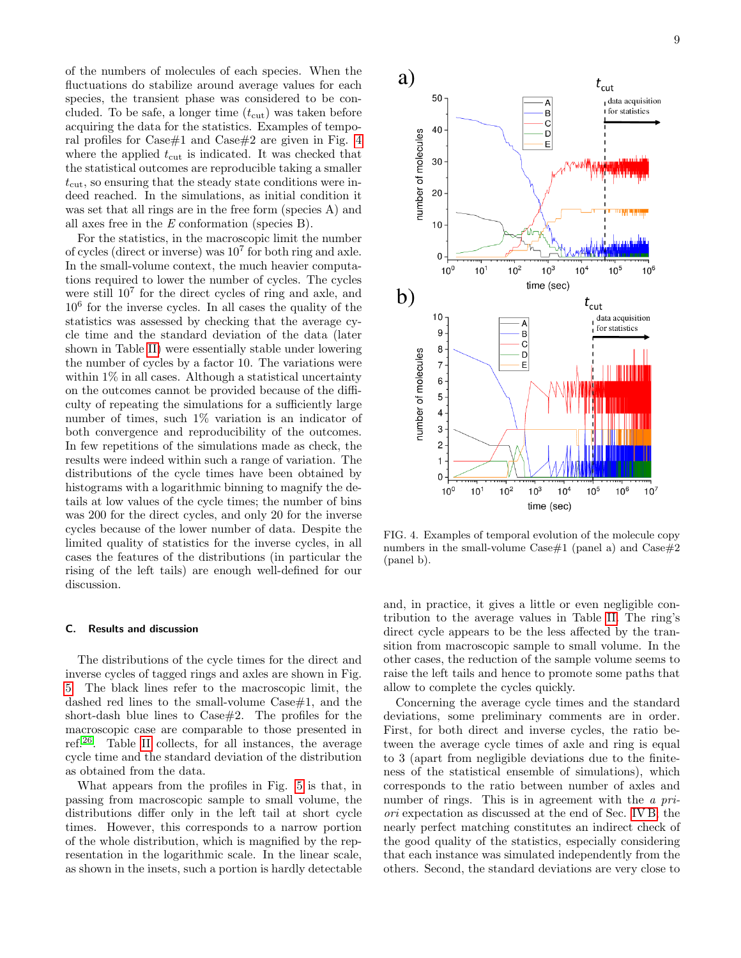of the numbers of molecules of each species. When the fluctuations do stabilize around average values for each species, the transient phase was considered to be concluded. To be safe, a longer time  $(t_{\text{cut}})$  was taken before acquiring the data for the statistics. Examples of temporal profiles for Case#1 and Case#2 are given in Fig. [4](#page-8-0) where the applied  $t_{\text{cut}}$  is indicated. It was checked that the statistical outcomes are reproducible taking a smaller  $t_{\text{cut}}$ , so ensuring that the steady state conditions were indeed reached. In the simulations, as initial condition it was set that all rings are in the free form (species A) and all axes free in the E conformation (species B).

For the statistics, in the macroscopic limit the number of cycles (direct or inverse) was 10<sup>7</sup> for both ring and axle. In the small-volume context, the much heavier computations required to lower the number of cycles. The cycles were still  $10<sup>7</sup>$  for the direct cycles of ring and axle, and 10<sup>6</sup> for the inverse cycles. In all cases the quality of the statistics was assessed by checking that the average cycle time and the standard deviation of the data (later shown in Table [II\)](#page-9-0) were essentially stable under lowering the number of cycles by a factor 10. The variations were within  $1\%$  in all cases. Although a statistical uncertainty on the outcomes cannot be provided because of the difficulty of repeating the simulations for a sufficiently large number of times, such 1% variation is an indicator of both convergence and reproducibility of the outcomes. In few repetitions of the simulations made as check, the results were indeed within such a range of variation. The distributions of the cycle times have been obtained by histograms with a logarithmic binning to magnify the details at low values of the cycle times; the number of bins was 200 for the direct cycles, and only 20 for the inverse cycles because of the lower number of data. Despite the limited quality of statistics for the inverse cycles, in all cases the features of the distributions (in particular the rising of the left tails) are enough well-defined for our discussion.

#### C. Results and discussion

The distributions of the cycle times for the direct and inverse cycles of tagged rings and axles are shown in Fig. [5.](#page-11-1) The black lines refer to the macroscopic limit, the dashed red lines to the small-volume Case#1, and the short-dash blue lines to  $\text{Case} \#2$ . The profiles for the macroscopic case are comparable to those presented in ref.[26](#page-12-14). Table [II](#page-9-0) collects, for all instances, the average cycle time and the standard deviation of the distribution as obtained from the data.

What appears from the profiles in Fig. [5](#page-11-1) is that, in passing from macroscopic sample to small volume, the distributions differ only in the left tail at short cycle times. However, this corresponds to a narrow portion of the whole distribution, which is magnified by the representation in the logarithmic scale. In the linear scale, as shown in the insets, such a portion is hardly detectable



<span id="page-8-0"></span>FIG. 4. Examples of temporal evolution of the molecule copy numbers in the small-volume  $\text{Case} \# 1$  (panel a) and  $\text{Case} \# 2$ (panel b).

and, in practice, it gives a little or even negligible contribution to the average values in Table [II.](#page-9-0) The ring's direct cycle appears to be the less affected by the transition from macroscopic sample to small volume. In the other cases, the reduction of the sample volume seems to raise the left tails and hence to promote some paths that allow to complete the cycles quickly.

Concerning the average cycle times and the standard deviations, some preliminary comments are in order. First, for both direct and inverse cycles, the ratio between the average cycle times of axle and ring is equal to 3 (apart from negligible deviations due to the finiteness of the statistical ensemble of simulations), which corresponds to the ratio between number of axles and number of rings. This is in agreement with the *a pri*ori expectation as discussed at the end of Sec. [IV B;](#page-5-1) the nearly perfect matching constitutes an indirect check of the good quality of the statistics, especially considering that each instance was simulated independently from the others. Second, the standard deviations are very close to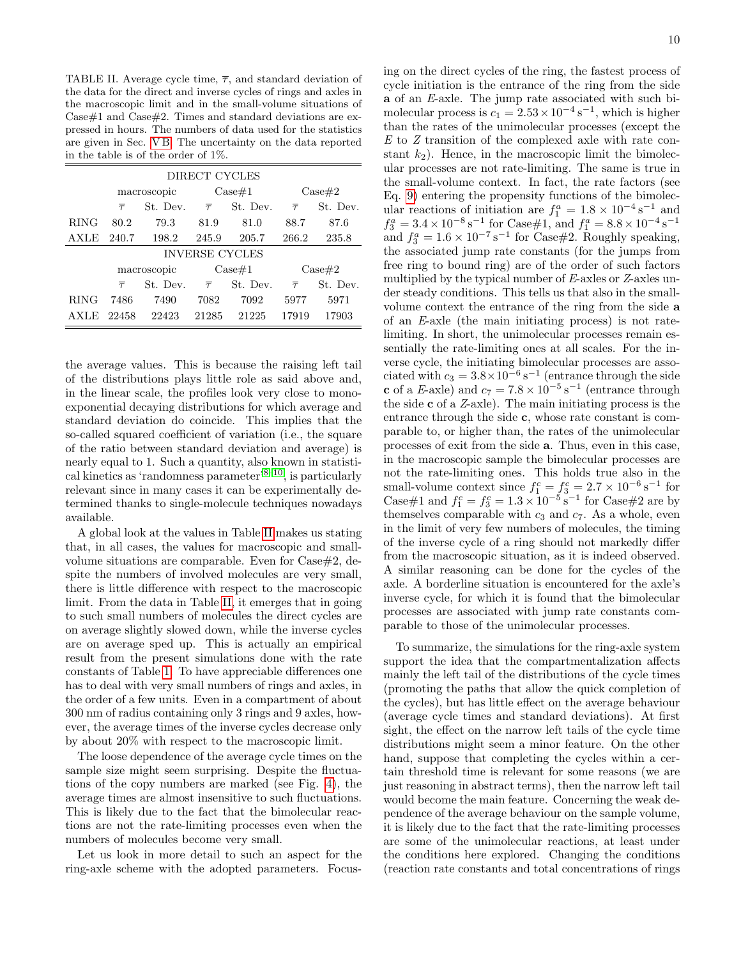<span id="page-9-0"></span>TABLE II. Average cycle time,  $\overline{\tau}$ , and standard deviation of the data for the direct and inverse cycles of rings and axles in the macroscopic limit and in the small-volume situations of  $\text{Case} \# 1$  and  $\text{Case} \# 2$ . Times and standard deviations are expressed in hours. The numbers of data used for the statistics are given in Sec. [V B.](#page-7-2) The uncertainty on the data reported in the table is of the order of 1%.

| DIRECT CYCLES         |                   |          |                   |          |                   |          |  |  |
|-----------------------|-------------------|----------|-------------------|----------|-------------------|----------|--|--|
|                       | macroscopic       |          | $\text{Case} \#1$ |          | $\text{Case} \#2$ |          |  |  |
|                       | $\overline{\tau}$ | St. Dev. | $\overline{\tau}$ | St. Dev. | $\overline{\tau}$ | St. Dev. |  |  |
| <b>RING</b>           | 80.2              | 79.3     | 81.9              | 81.0     | 88.7              | 87.6     |  |  |
| AXLE                  | 240.7             | 198.2    | 245.9             | 205.7    | 266.2             | 235.8    |  |  |
| <b>INVERSE CYCLES</b> |                   |          |                   |          |                   |          |  |  |
|                       | macroscopic       |          | $\text{Case} \#1$ |          | $\text{Case} \#2$ |          |  |  |
|                       | $\overline{\tau}$ | St. Dev. | $\overline{\tau}$ | St. Dev. | $\overline{\tau}$ | St. Dev. |  |  |
| <b>RING</b>           | 7486              | 7490     | 7082              | 7092     | 5977              | 5971     |  |  |
| AXLE                  | 22458             | 22423    | 21285             | 21225    | 17919             | 17903    |  |  |

the average values. This is because the raising left tail of the distributions plays little role as said above and, in the linear scale, the profiles look very close to monoexponential decaying distributions for which average and standard deviation do coincide. This implies that the so-called squared coefficient of variation (i.e., the square of the ratio between standard deviation and average) is nearly equal to 1. Such a quantity, also known in statisti-cal kinetics as 'randomness parameter'<sup>[8–](#page-12-2)[10](#page-12-4)</sup>, is particularly relevant since in many cases it can be experimentally determined thanks to single-molecule techniques nowadays available.

A global look at the values in Table [II](#page-9-0) makes us stating that, in all cases, the values for macroscopic and smallvolume situations are comparable. Even for  $\text{Case} \#2$ , despite the numbers of involved molecules are very small. there is little difference with respect to the macroscopic limit. From the data in Table [II,](#page-9-0) it emerges that in going to such small numbers of molecules the direct cycles are on average slightly slowed down, while the inverse cycles are on average sped up. This is actually an empirical result from the present simulations done with the rate constants of Table [1.](#page-5-0) To have appreciable differences one has to deal with very small numbers of rings and axles, in the order of a few units. Even in a compartment of about 300 nm of radius containing only 3 rings and 9 axles, however, the average times of the inverse cycles decrease only by about 20% with respect to the macroscopic limit.

The loose dependence of the average cycle times on the sample size might seem surprising. Despite the fluctuations of the copy numbers are marked (see Fig. [4\)](#page-8-0), the average times are almost insensitive to such fluctuations. This is likely due to the fact that the bimolecular reactions are not the rate-limiting processes even when the numbers of molecules become very small.

Let us look in more detail to such an aspect for the ring-axle scheme with the adopted parameters. Focusing on the direct cycles of the ring, the fastest process of cycle initiation is the entrance of the ring from the side a of an E-axle. The jump rate associated with such bimolecular process is  $c_1 = 2.53 \times 10^{-4} \text{ s}^{-1}$ , which is higher than the rates of the unimolecular processes (except the E to Z transition of the complexed axle with rate constant  $k_2$ ). Hence, in the macroscopic limit the bimolecular processes are not rate-limiting. The same is true in the small-volume context. In fact, the rate factors (see Eq. [9\)](#page-3-2) entering the propensity functions of the bimolecular reactions of initiation are  $f_1^a = 1.8 \times 10^{-4} \,\mathrm{s}^{-1}$  and  $f_3^a = 3.4 \times 10^{-8} \,\mathrm{s}^{-1}$  for Case#1, and  $f_1^a = 8.8 \times 10^{-4} \,\mathrm{s}^{-1}$ and  $f_3^a = 1.6 \times 10^{-7} \,\mathrm{s}^{-1}$  for Case#2. Roughly speaking, the associated jump rate constants (for the jumps from free ring to bound ring) are of the order of such factors multiplied by the typical number of E-axles or Z-axles under steady conditions. This tells us that also in the smallvolume context the entrance of the ring from the side a of an E-axle (the main initiating process) is not ratelimiting. In short, the unimolecular processes remain essentially the rate-limiting ones at all scales. For the inverse cycle, the initiating bimolecular processes are associated with  $c_3 = 3.8 \times 10^{-6} \text{ s}^{-1}$  (entrance through the side c of a E-axle) and  $c_7 = 7.8 \times 10^{-5} \text{ s}^{-1}$  (entrance through the side c of a Z-axle). The main initiating process is the entrance through the side c, whose rate constant is comparable to, or higher than, the rates of the unimolecular processes of exit from the side a. Thus, even in this case, in the macroscopic sample the bimolecular processes are not the rate-limiting ones. This holds true also in the small-volume context since  $f_1^c = f_3^c = 2.7 \times 10^{-6} \text{ s}^{-1}$  for Case#1 and  $f_1^c = f_3^c = 1.3 \times 10^{-5} \text{ s}^{-1}$  for Case#2 are by themselves comparable with  $c_3$  and  $c_7$ . As a whole, even in the limit of very few numbers of molecules, the timing of the inverse cycle of a ring should not markedly differ from the macroscopic situation, as it is indeed observed. A similar reasoning can be done for the cycles of the axle. A borderline situation is encountered for the axle's inverse cycle, for which it is found that the bimolecular processes are associated with jump rate constants comparable to those of the unimolecular processes.

To summarize, the simulations for the ring-axle system support the idea that the compartmentalization affects mainly the left tail of the distributions of the cycle times (promoting the paths that allow the quick completion of the cycles), but has little effect on the average behaviour (average cycle times and standard deviations). At first sight, the effect on the narrow left tails of the cycle time distributions might seem a minor feature. On the other hand, suppose that completing the cycles within a certain threshold time is relevant for some reasons (we are just reasoning in abstract terms), then the narrow left tail would become the main feature. Concerning the weak dependence of the average behaviour on the sample volume, it is likely due to the fact that the rate-limiting processes are some of the unimolecular reactions, at least under the conditions here explored. Changing the conditions (reaction rate constants and total concentrations of rings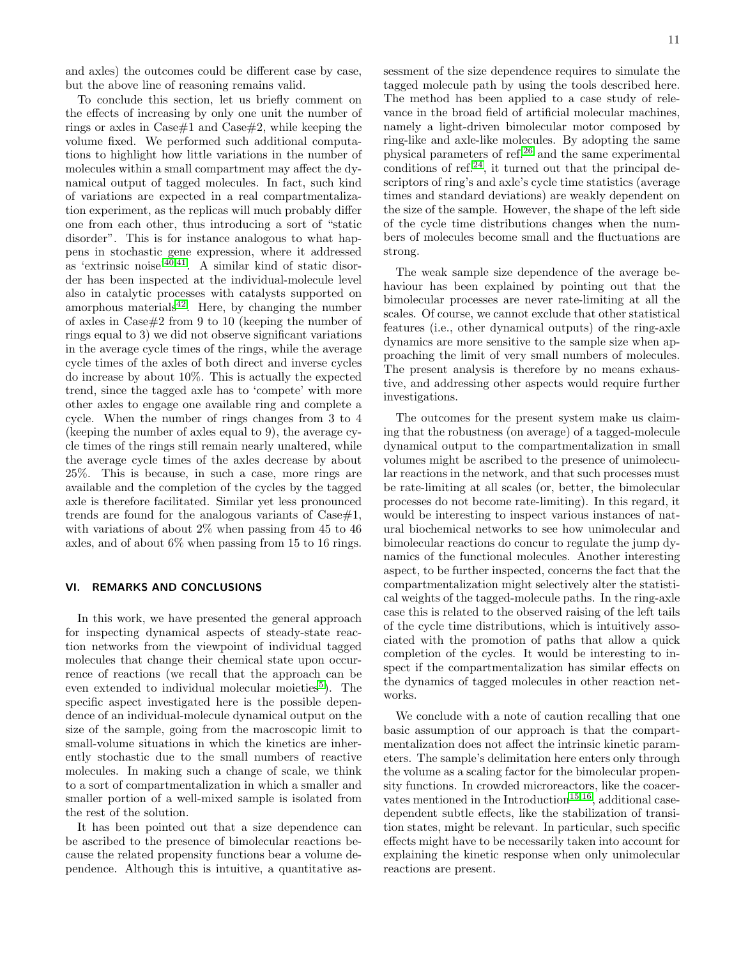and axles) the outcomes could be different case by case, but the above line of reasoning remains valid.

To conclude this section, let us briefly comment on the effects of increasing by only one unit the number of rings or axles in  $\text{Case} \# 1$  and  $\text{Case} \# 2$ , while keeping the volume fixed. We performed such additional computations to highlight how little variations in the number of molecules within a small compartment may affect the dynamical output of tagged molecules. In fact, such kind of variations are expected in a real compartmentalization experiment, as the replicas will much probably differ one from each other, thus introducing a sort of "static disorder". This is for instance analogous to what happens in stochastic gene expression, where it addressed as 'extrinsic noise'[40,](#page-12-30)[41](#page-12-31). A similar kind of static disorder has been inspected at the individual-molecule level also in catalytic processes with catalysts supported on amorphous materials $42$ . Here, by changing the number of axles in Case#2 from 9 to 10 (keeping the number of rings equal to 3) we did not observe significant variations in the average cycle times of the rings, while the average cycle times of the axles of both direct and inverse cycles do increase by about 10%. This is actually the expected trend, since the tagged axle has to 'compete' with more other axles to engage one available ring and complete a cycle. When the number of rings changes from 3 to 4 (keeping the number of axles equal to 9), the average cycle times of the rings still remain nearly unaltered, while the average cycle times of the axles decrease by about 25%. This is because, in such a case, more rings are available and the completion of the cycles by the tagged axle is therefore facilitated. Similar yet less pronounced trends are found for the analogous variants of  $\text{Case} \#1$ , with variations of about 2\% when passing from 45 to 46 axles, and of about 6% when passing from 15 to 16 rings.

# <span id="page-10-0"></span>VI. REMARKS AND CONCLUSIONS

In this work, we have presented the general approach for inspecting dynamical aspects of steady-state reaction networks from the viewpoint of individual tagged molecules that change their chemical state upon occurrence of reactions (we recall that the approach can be even extended to individual molecular moieties<sup>[5](#page-12-17)</sup>). The specific aspect investigated here is the possible dependence of an individual-molecule dynamical output on the size of the sample, going from the macroscopic limit to small-volume situations in which the kinetics are inherently stochastic due to the small numbers of reactive molecules. In making such a change of scale, we think to a sort of compartmentalization in which a smaller and smaller portion of a well-mixed sample is isolated from the rest of the solution.

It has been pointed out that a size dependence can be ascribed to the presence of bimolecular reactions because the related propensity functions bear a volume dependence. Although this is intuitive, a quantitative assessment of the size dependence requires to simulate the tagged molecule path by using the tools described here. The method has been applied to a case study of relevance in the broad field of artificial molecular machines, namely a light-driven bimolecular motor composed by ring-like and axle-like molecules. By adopting the same physical parameters of ref.[26](#page-12-14) and the same experimental conditions of ref.<sup>[24](#page-12-12)</sup>, it turned out that the principal descriptors of ring's and axle's cycle time statistics (average times and standard deviations) are weakly dependent on the size of the sample. However, the shape of the left side of the cycle time distributions changes when the numbers of molecules become small and the fluctuations are strong.

The weak sample size dependence of the average behaviour has been explained by pointing out that the bimolecular processes are never rate-limiting at all the scales. Of course, we cannot exclude that other statistical features (i.e., other dynamical outputs) of the ring-axle dynamics are more sensitive to the sample size when approaching the limit of very small numbers of molecules. The present analysis is therefore by no means exhaustive, and addressing other aspects would require further investigations.

The outcomes for the present system make us claiming that the robustness (on average) of a tagged-molecule dynamical output to the compartmentalization in small volumes might be ascribed to the presence of unimolecular reactions in the network, and that such processes must be rate-limiting at all scales (or, better, the bimolecular processes do not become rate-limiting). In this regard, it would be interesting to inspect various instances of natural biochemical networks to see how unimolecular and bimolecular reactions do concur to regulate the jump dynamics of the functional molecules. Another interesting aspect, to be further inspected, concerns the fact that the compartmentalization might selectively alter the statistical weights of the tagged-molecule paths. In the ring-axle case this is related to the observed raising of the left tails of the cycle time distributions, which is intuitively associated with the promotion of paths that allow a quick completion of the cycles. It would be interesting to inspect if the compartmentalization has similar effects on the dynamics of tagged molecules in other reaction networks.

We conclude with a note of caution recalling that one basic assumption of our approach is that the compartmentalization does not affect the intrinsic kinetic parameters. The sample's delimitation here enters only through the volume as a scaling factor for the bimolecular propensity functions. In crowded microreactors, like the coacer-vates mentioned in the Introduction<sup>[15,](#page-12-8)[16](#page-12-9)</sup>, additional casedependent subtle effects, like the stabilization of transition states, might be relevant. In particular, such specific effects might have to be necessarily taken into account for explaining the kinetic response when only unimolecular reactions are present.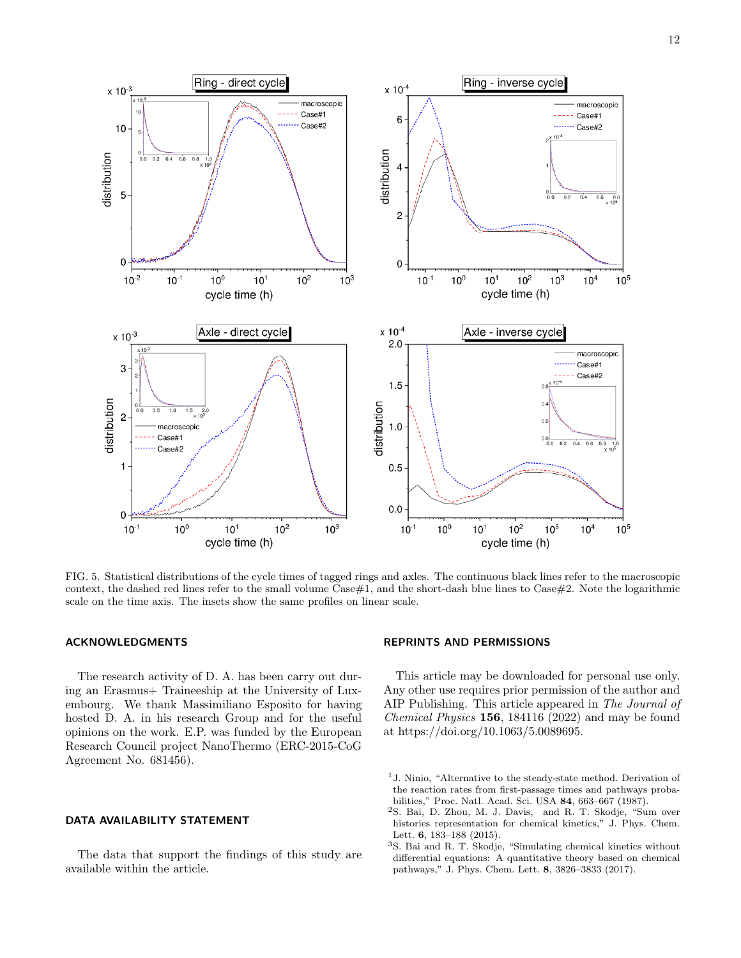

<span id="page-11-1"></span>FIG. 5. Statistical distributions of the cycle times of tagged rings and axles. The continuous black lines refer to the macroscopic context, the dashed red lines refer to the small volume  $\text{Case#1}$ , and the short-dash blue lines to  $\text{Case#2}$ . Note the logarithmic scale on the time axis. The insets show the same profiles on linear scale.

# ACKNOWLEDGMENTS

The research activity of D. A. has been carry out during an Erasmus+ Traineeship at the University of Luxembourg. We thank Massimiliano Esposito for having hosted D. A. in his research Group and for the useful opinions on the work. E.P. was funded by the European Research Council project NanoThermo (ERC-2015-CoG Agreement No. 681456).

## DATA AVAILABILITY STATEMENT

The data that support the findings of this study are available within the article.

## REPRINTS AND PERMISSIONS

This article may be downloaded for personal use only. Any other use requires prior permission of the author and AIP Publishing. This article appeared in The Journal of Chemical Physics 156, 184116 (2022) and may be found at https://doi.org/10.1063/5.0089695.

<span id="page-11-0"></span><sup>1</sup>J. Ninio, "Alternative to the steady-state method. Derivation of the reaction rates from first-passage times and pathways probabilities," Proc. Natl. Acad. Sci. USA 84, 663–667 (1987).

<sup>2</sup>S. Bai, D. Zhou, M. J. Davis, and R. T. Skodje, "Sum over histories representation for chemical kinetics," J. Phys. Chem. Lett. **6**, 183-188 (2015).

<sup>3</sup>S. Bai and R. T. Skodje, "Simulating chemical kinetics without differential equations: A quantitative theory based on chemical pathways," J. Phys. Chem. Lett. 8, 3826–3833 (2017).